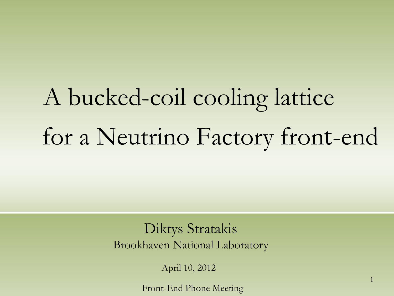# A bucked-coil cooling lattice for a Neutrino Factory front-end

Diktys Stratakis Brookhaven National Laboratory

April 10, 2012

Front-End Phone Meeting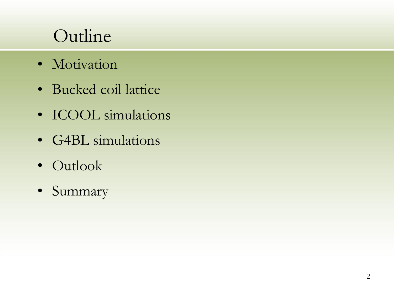# Outline

- Motivation
- Bucked coil lattice
- ICOOL simulations
- G4BL simulations
- Outlook
- Summary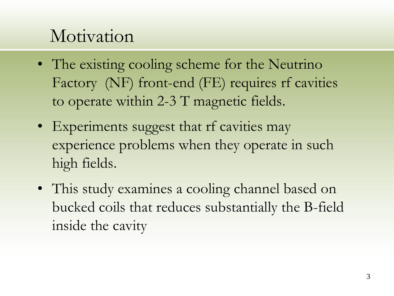#### Motivation

- The existing cooling scheme for the Neutrino Factory (NF) front-end (FE) requires rf cavities to operate within 2-3 T magnetic fields.
- Experiments suggest that rf cavities may experience problems when they operate in such high fields.
- This study examines a cooling channel based on bucked coils that reduces substantially the B-field inside the cavity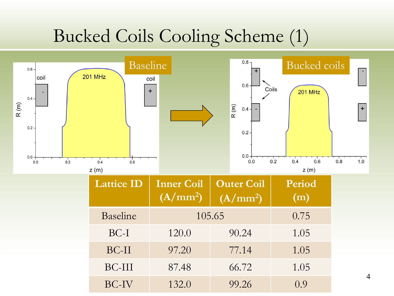## Bucked Coils Cooling Scheme (1)



BC-II 97.20 77.14 1.05

BC-III 87.48 66.72 1.05

BC-IV 132.0 99.26 0.9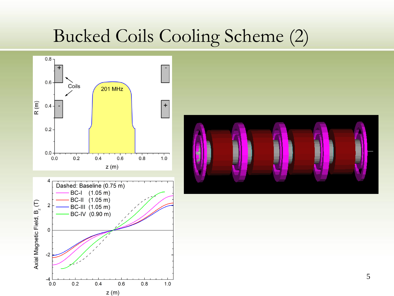#### Bucked Coils Cooling Scheme (2)



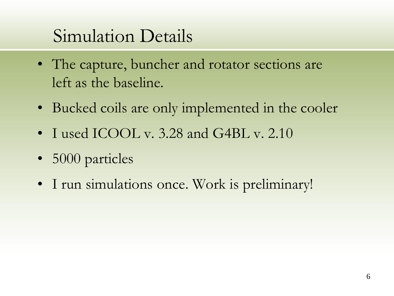## Simulation Details

- The capture, buncher and rotator sections are left as the baseline.
- Bucked coils are only implemented in the cooler
- I used ICOOL v. 3.28 and G4BL v. 2.10
- 5000 particles
- I run simulations once. Work is preliminary!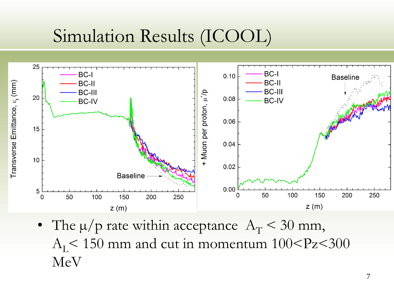## Simulation Results (ICOOL)



• The  $\mu$ /p rate within acceptance  $A_T < 30$  mm,  $A_I < 150$  mm and cut in momentum  $100 < P_Z < 300$ MeV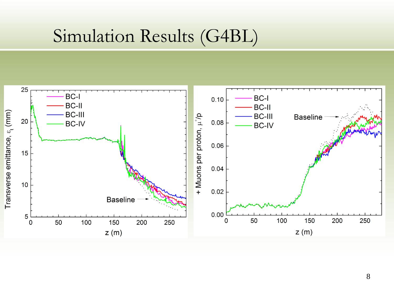#### Simulation Results (G4BL)